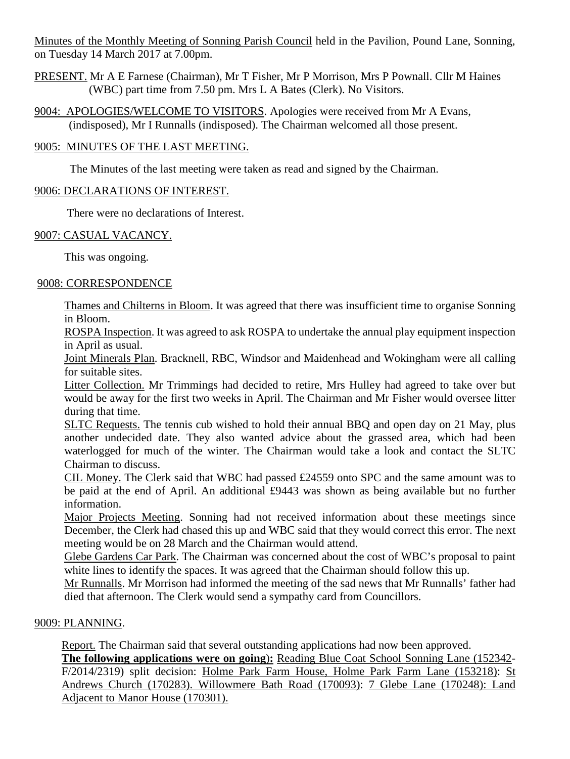Minutes of the Monthly Meeting of Sonning Parish Council held in the Pavilion, Pound Lane, Sonning, on Tuesday 14 March 2017 at 7.00pm.

PRESENT. Mr A E Farnese (Chairman), Mr T Fisher, Mr P Morrison, Mrs P Pownall. Cllr M Haines (WBC) part time from 7.50 pm. Mrs L A Bates (Clerk). No Visitors.

9004: APOLOGIES/WELCOME TO VISITORS. Apologies were received from Mr A Evans, (indisposed), Mr I Runnalls (indisposed). The Chairman welcomed all those present.

# 9005: MINUTES OF THE LAST MEETING.

The Minutes of the last meeting were taken as read and signed by the Chairman.

# 9006: DECLARATIONS OF INTEREST.

There were no declarations of Interest.

# 9007: CASUAL VACANCY.

This was ongoing.

# 9008: CORRESPONDENCE

Thames and Chilterns in Bloom. It was agreed that there was insufficient time to organise Sonning in Bloom.

ROSPA Inspection. It was agreed to ask ROSPA to undertake the annual play equipment inspection in April as usual.

Joint Minerals Plan. Bracknell, RBC, Windsor and Maidenhead and Wokingham were all calling for suitable sites.

Litter Collection. Mr Trimmings had decided to retire, Mrs Hulley had agreed to take over but would be away for the first two weeks in April. The Chairman and Mr Fisher would oversee litter during that time.

SLTC Requests. The tennis cub wished to hold their annual BBQ and open day on 21 May, plus another undecided date. They also wanted advice about the grassed area, which had been waterlogged for much of the winter. The Chairman would take a look and contact the SLTC Chairman to discuss.

CIL Money. The Clerk said that WBC had passed £24559 onto SPC and the same amount was to be paid at the end of April. An additional £9443 was shown as being available but no further information.

Major Projects Meeting. Sonning had not received information about these meetings since December, the Clerk had chased this up and WBC said that they would correct this error. The next meeting would be on 28 March and the Chairman would attend.

Glebe Gardens Car Park. The Chairman was concerned about the cost of WBC's proposal to paint white lines to identify the spaces. It was agreed that the Chairman should follow this up.

Mr Runnalls. Mr Morrison had informed the meeting of the sad news that Mr Runnalls' father had died that afternoon. The Clerk would send a sympathy card from Councillors.

### 9009: PLANNING.

Report. The Chairman said that several outstanding applications had now been approved. **The following applications were on going**)**:** Reading Blue Coat School Sonning Lane (152342- F/2014/2319) split decision: Holme Park Farm House, Holme Park Farm Lane (153218): St Andrews Church (170283). Willowmere Bath Road (170093): 7 Glebe Lane (170248): Land Adjacent to Manor House (170301).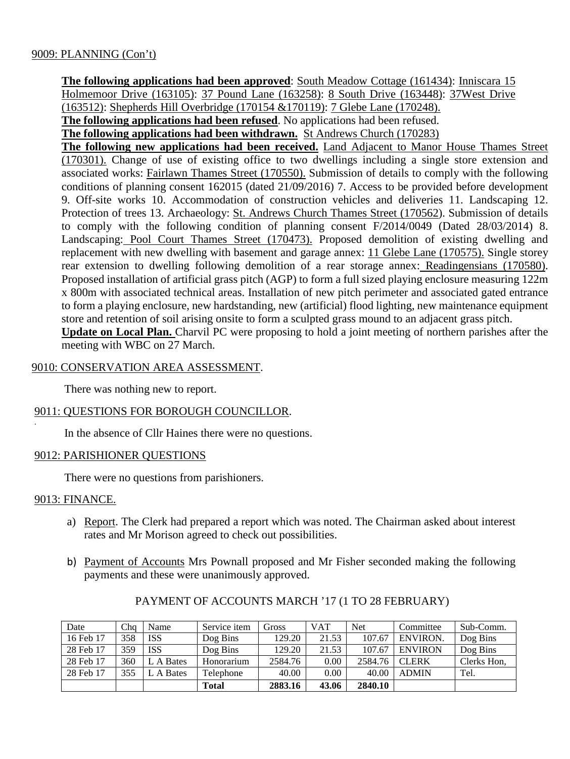**The following applications had been approved**: South Meadow Cottage (161434): Inniscara 15 Holmemoor Drive (163105): 37 Pound Lane (163258): 8 South Drive (163448): 37West Drive (163512): Shepherds Hill Overbridge (170154 &170119): 7 Glebe Lane (170248).

**The following applications had been refused**. No applications had been refused.

**The following applications had been withdrawn.** St Andrews Church (170283)

**The following new applications had been received.** Land Adjacent to Manor House Thames Street (170301). Change of use of existing office to two dwellings including a single store extension and associated works: Fairlawn Thames Street (170550). Submission of details to comply with the following conditions of planning consent 162015 (dated 21/09/2016) 7. Access to be provided before development 9. Off-site works 10. Accommodation of construction vehicles and deliveries 11. Landscaping 12. Protection of trees 13. Archaeology: St. Andrews Church Thames Street (170562). Submission of details to comply with the following condition of planning consent F/2014/0049 (Dated 28/03/2014) 8. Landscaping: Pool Court Thames Street (170473). Proposed demolition of existing dwelling and replacement with new dwelling with basement and garage annex: 11 Glebe Lane (170575). Single storey rear extension to dwelling following demolition of a rear storage annex: Readingensians (170580). Proposed installation of artificial grass pitch (AGP) to form a full sized playing enclosure measuring 122m x 800m with associated technical areas. Installation of new pitch perimeter and associated gated entrance to form a playing enclosure, new hardstanding, new (artificial) flood lighting, new maintenance equipment store and retention of soil arising onsite to form a sculpted grass mound to an adjacent grass pitch.

**Update on Local Plan.** Charvil PC were proposing to hold a joint meeting of northern parishes after the meeting with WBC on 27 March.

#### 9010: CONSERVATION AREA ASSESSMENT.

There was nothing new to report.

### 9011: QUESTIONS FOR BOROUGH COUNCILLOR.

In the absence of Cllr Haines there were no questions.

#### 9012: PARISHIONER QUESTIONS

There were no questions from parishioners.

#### 9013: FINANCE.

.

- a) Report. The Clerk had prepared a report which was noted. The Chairman asked about interest rates and Mr Morison agreed to check out possibilities.
- b) Payment of Accounts Mrs Pownall proposed and Mr Fisher seconded making the following payments and these were unanimously approved.

| Date      | Chq | Name       | Service item | Gross   | <b>VAT</b> | <b>Net</b> | Committee       | Sub-Comm.   |
|-----------|-----|------------|--------------|---------|------------|------------|-----------------|-------------|
| 16 Feb 17 | 358 | <b>ISS</b> | Dog Bins     | 129.20  | 21.53      | 107.67     | <b>ENVIRON.</b> | Dog Bins    |
| 28 Feb 17 | 359 | <b>ISS</b> | Dog Bins     | 129.20  | 21.53      | 107.67     | <b>ENVIRON</b>  | Dog Bins    |
| 28 Feb 17 | 360 | L A Bates  | Honorarium   | 2584.76 | 0.00       | 2584.76    | <b>CLERK</b>    | Clerks Hon, |
| 28 Feb 17 | 355 | A Bates    | Telephone    | 40.00   | 0.00       | 40.00      | <b>ADMIN</b>    | Tel.        |
|           |     |            | Total        | 2883.16 | 43.06      | 2840.10    |                 |             |

### PAYMENT OF ACCOUNTS MARCH '17 (1 TO 28 FEBRUARY)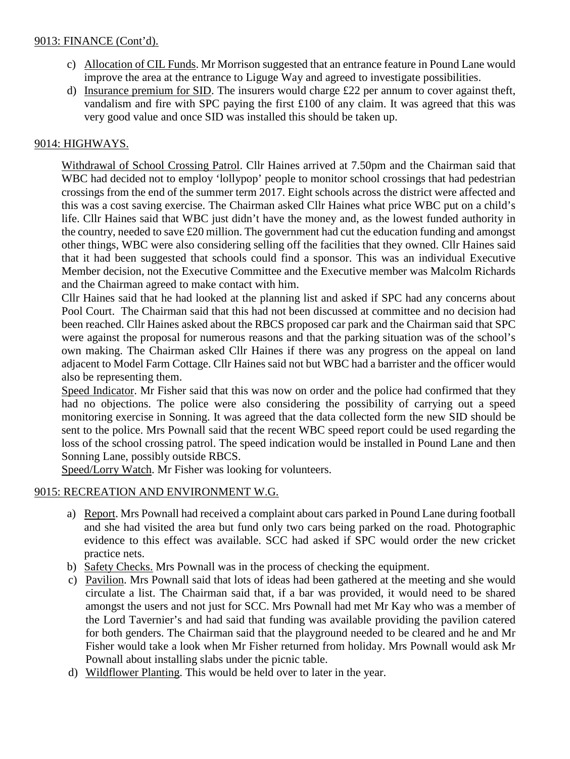## 9013: FINANCE (Cont'd).

- c) Allocation of CIL Funds. Mr Morrison suggested that an entrance feature in Pound Lane would improve the area at the entrance to Liguge Way and agreed to investigate possibilities.
- d) Insurance premium for SID. The insurers would charge £22 per annum to cover against theft, vandalism and fire with SPC paying the first £100 of any claim. It was agreed that this was very good value and once SID was installed this should be taken up.

# 9014: HIGHWAYS.

Withdrawal of School Crossing Patrol. Cllr Haines arrived at 7.50pm and the Chairman said that WBC had decided not to employ 'lollypop' people to monitor school crossings that had pedestrian crossings from the end of the summer term 2017. Eight schools across the district were affected and this was a cost saving exercise. The Chairman asked Cllr Haines what price WBC put on a child's life. Cllr Haines said that WBC just didn't have the money and, as the lowest funded authority in the country, needed to save £20 million. The government had cut the education funding and amongst other things, WBC were also considering selling off the facilities that they owned. Cllr Haines said that it had been suggested that schools could find a sponsor. This was an individual Executive Member decision, not the Executive Committee and the Executive member was Malcolm Richards and the Chairman agreed to make contact with him.

Cllr Haines said that he had looked at the planning list and asked if SPC had any concerns about Pool Court. The Chairman said that this had not been discussed at committee and no decision had been reached. Cllr Haines asked about the RBCS proposed car park and the Chairman said that SPC were against the proposal for numerous reasons and that the parking situation was of the school's own making. The Chairman asked Cllr Haines if there was any progress on the appeal on land adjacent to Model Farm Cottage. Cllr Haines said not but WBC had a barrister and the officer would also be representing them.

Speed Indicator. Mr Fisher said that this was now on order and the police had confirmed that they had no objections. The police were also considering the possibility of carrying out a speed monitoring exercise in Sonning. It was agreed that the data collected form the new SID should be sent to the police. Mrs Pownall said that the recent WBC speed report could be used regarding the loss of the school crossing patrol. The speed indication would be installed in Pound Lane and then Sonning Lane, possibly outside RBCS.

Speed/Lorry Watch. Mr Fisher was looking for volunteers.

# 9015: RECREATION AND ENVIRONMENT W.G.

- a) Report. Mrs Pownall had received a complaint about cars parked in Pound Lane during football and she had visited the area but fund only two cars being parked on the road. Photographic evidence to this effect was available. SCC had asked if SPC would order the new cricket practice nets.
- b) Safety Checks. Mrs Pownall was in the process of checking the equipment.
- c) Pavilion. Mrs Pownall said that lots of ideas had been gathered at the meeting and she would circulate a list. The Chairman said that, if a bar was provided, it would need to be shared amongst the users and not just for SCC. Mrs Pownall had met Mr Kay who was a member of the Lord Tavernier's and had said that funding was available providing the pavilion catered for both genders. The Chairman said that the playground needed to be cleared and he and Mr Fisher would take a look when Mr Fisher returned from holiday. Mrs Pownall would ask Mr Pownall about installing slabs under the picnic table.
- d) Wildflower Planting. This would be held over to later in the year.